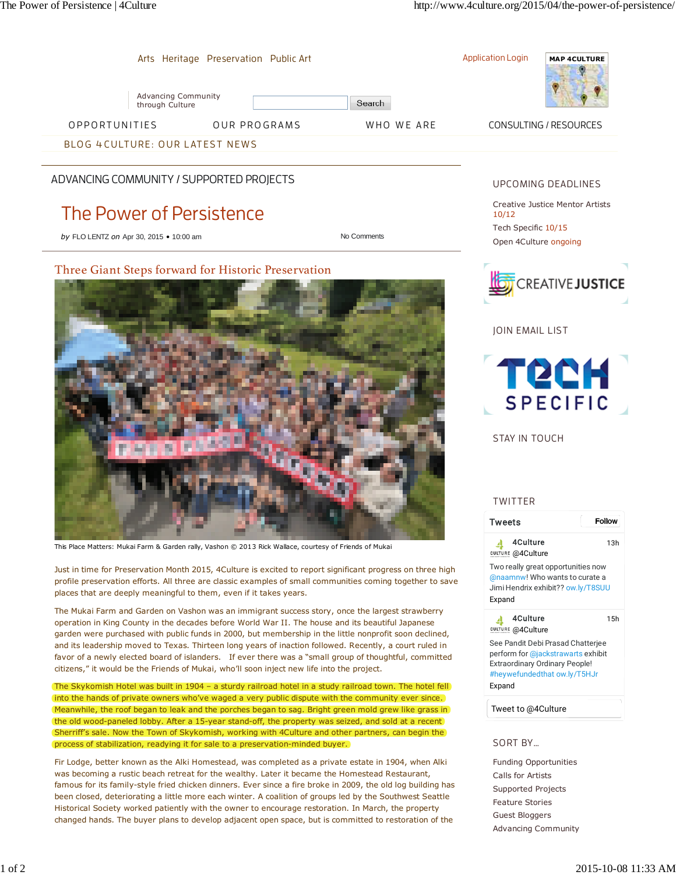

favor of a newly elected board of islanders. If ever there was a "small group of thoughtful, committed

The Skykomish Hotel was built in 1904 – a sturdy railroad hotel in a study railroad town. The hotel fell into the hands of private owners who've waged a very public dispute with the community ever since. Meanwhile, the roof began to leak and the porches began to sag. Bright green mold grew like grass in the old wood-paneled lobby. After a 15-year stand-off, the property was seized, and sold at a recent Sherriff's sale. Now the Town of Skykomish, working with 4Culture and other partners, can begin the

Fir Lodge, better known as the Alki Homestead, was completed as a private estate in 1904, when Alki was becoming a rustic beach retreat for the wealthy. Later it became the Homestead Restaurant, famous for its family-style fried chicken dinners. Ever since a fire broke in 2009, the old log building has been closed, deteriorating a little more each winter. A coalition of groups led by the Southwest Seattle Historical Society worked patiently with the owner to encourage restoration. In March, the property changed hands. The buyer plans to develop adjacent open space, but is committed to restoration of the

citizens," it would be the Friends of Mukai, who'll soon inject new life into the project.

process of stabilization, readying it for sale to a preservation-minded buyer.

See Pandit Debi Prasad Chatterjee perform for @jackstrawarts exhibit Extraordinary Ordinary People! #heywefundedthat ow.ly/T5HJr Expand

Tweet to @4Culture

SORT BY...

Funding Opportunities Calls for Artists Supported Projects Feature Stories Guest Bloggers Advancing Community